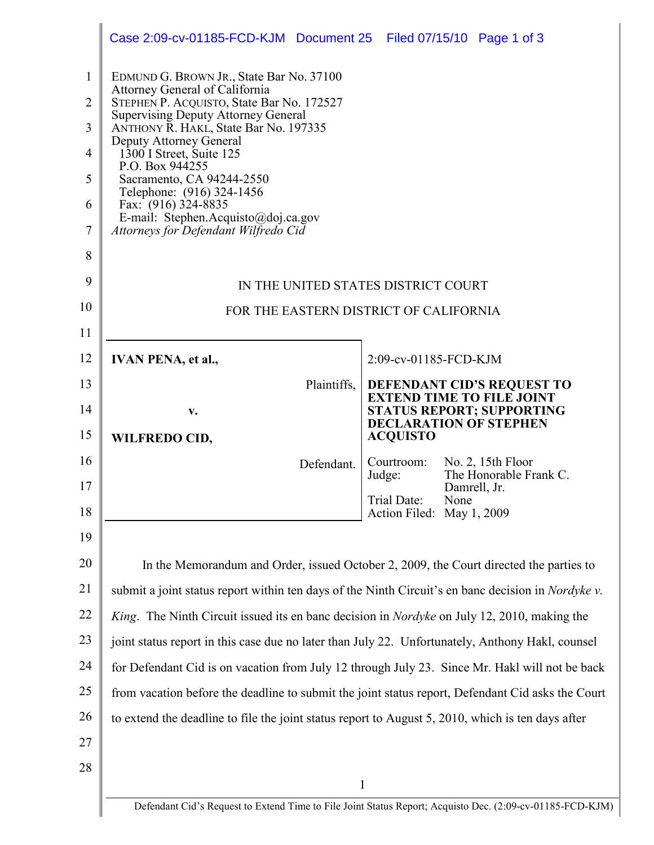|                                | Case 2:09-cv-01185-FCD-KJM Document 25 Filed 07/15/10 Page 1 of 3                                                         |                           |      |                                                                       |  |
|--------------------------------|---------------------------------------------------------------------------------------------------------------------------|---------------------------|------|-----------------------------------------------------------------------|--|
| $\mathbf{1}$<br>$\overline{2}$ | EDMUND G. BROWN JR., State Bar No. 37100<br>Attorney General of California<br>STEPHEN P. ACQUISTO, State Bar No. 172527   |                           |      |                                                                       |  |
| 3                              | <b>Supervising Deputy Attorney General</b><br>ANTHONY R. HAKL, State Bar No. 197335                                       |                           |      |                                                                       |  |
| 4                              | Deputy Attorney General<br>1300 I Street, Suite 125                                                                       |                           |      |                                                                       |  |
| 5                              | P.O. Box 944255<br>Sacramento, CA 94244-2550                                                                              |                           |      |                                                                       |  |
| 6                              | Telephone: (916) 324-1456<br>Fax: (916) 324-8835                                                                          |                           |      |                                                                       |  |
| $\tau$                         | E-mail: Stephen.Acquisto@doj.ca.gov<br>Attorneys for Defendant Wilfredo Cid                                               |                           |      |                                                                       |  |
| 8                              |                                                                                                                           |                           |      |                                                                       |  |
| 9                              | IN THE UNITED STATES DISTRICT COURT                                                                                       |                           |      |                                                                       |  |
| 10                             | FOR THE EASTERN DISTRICT OF CALIFORNIA                                                                                    |                           |      |                                                                       |  |
| 11                             |                                                                                                                           |                           |      |                                                                       |  |
| 12                             | <b>IVAN PENA, et al.,</b>                                                                                                 | 2:09-cv-01185-FCD-KJM     |      |                                                                       |  |
| 13                             | Plaintiffs,                                                                                                               |                           |      | <b>DEFENDANT CID'S REQUEST TO</b><br><b>EXTEND TIME TO FILE JOINT</b> |  |
| 14                             | V.                                                                                                                        |                           |      | <b>STATUS REPORT; SUPPORTING</b><br><b>DECLARATION OF STEPHEN</b>     |  |
| 15                             | <b>WILFREDO CID,</b>                                                                                                      | <b>ACQUISTO</b>           |      |                                                                       |  |
| 16                             | Defendant.                                                                                                                | Courtroom:<br>Judge:      |      | No. 2, $15$ th Floor<br>The Honorable Frank C.                        |  |
| 17                             |                                                                                                                           | Trial Date:               | None | Damrell, Jr.                                                          |  |
| 18                             |                                                                                                                           | Action Filed: May 1, 2009 |      |                                                                       |  |
| 19                             |                                                                                                                           |                           |      |                                                                       |  |
| 20                             | In the Memorandum and Order, issued October 2, 2009, the Court directed the parties to                                    |                           |      |                                                                       |  |
| 21                             | submit a joint status report within ten days of the Ninth Circuit's en banc decision in <i>Nordyke v</i> .                |                           |      |                                                                       |  |
| 22                             | King. The Ninth Circuit issued its en banc decision in <i>Nordyke</i> on July 12, 2010, making the                        |                           |      |                                                                       |  |
| 23                             | joint status report in this case due no later than July 22. Unfortunately, Anthony Hakl, counsel                          |                           |      |                                                                       |  |
| 24                             | for Defendant Cid is on vacation from July 12 through July 23. Since Mr. Hakl will not be back                            |                           |      |                                                                       |  |
| 25                             | from vacation before the deadline to submit the joint status report, Defendant Cid asks the Court                         |                           |      |                                                                       |  |
| 26                             | to extend the deadline to file the joint status report to August 5, 2010, which is ten days after                         |                           |      |                                                                       |  |
| 27                             |                                                                                                                           |                           |      |                                                                       |  |
| 28                             |                                                                                                                           |                           |      |                                                                       |  |
|                                | $\mathbf{1}$<br>Defendant Cid's Request to Extend Time to File Joint Status Report; Acquisto Dec. (2:09-cv-01185-FCD-KJM) |                           |      |                                                                       |  |
|                                |                                                                                                                           |                           |      |                                                                       |  |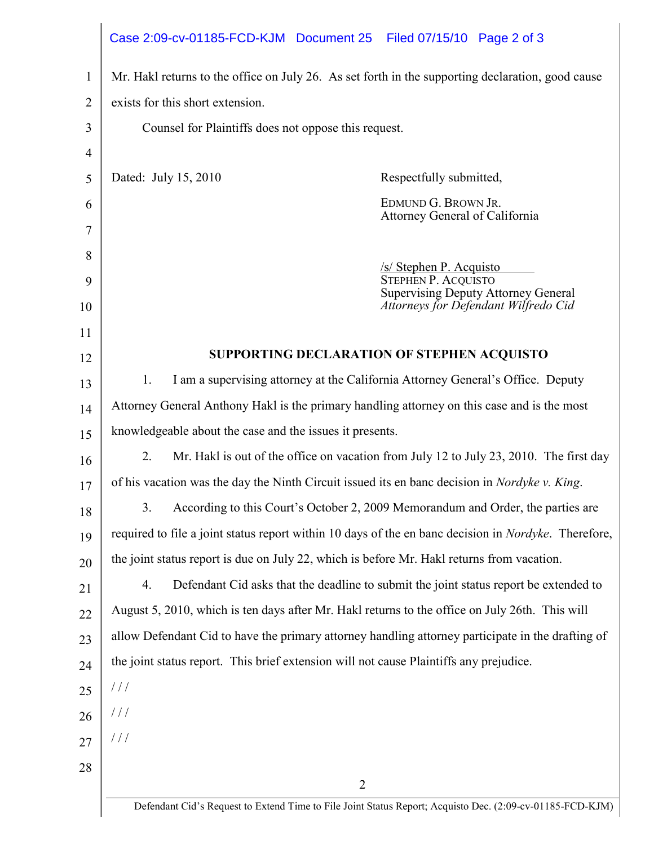|                | Case 2:09-cv-01185-FCD-KJM Document 25 Filed 07/15/10 Page 2 of 3                                            |  |  |  |  |
|----------------|--------------------------------------------------------------------------------------------------------------|--|--|--|--|
| 1              | Mr. Hakl returns to the office on July 26. As set forth in the supporting declaration, good cause            |  |  |  |  |
| $\overline{2}$ | exists for this short extension.                                                                             |  |  |  |  |
| 3              | Counsel for Plaintiffs does not oppose this request.                                                         |  |  |  |  |
| $\overline{4}$ |                                                                                                              |  |  |  |  |
| 5              | Dated: July 15, 2010<br>Respectfully submitted,                                                              |  |  |  |  |
| 6              | EDMUND G. BROWN JR.                                                                                          |  |  |  |  |
| 7              | Attorney General of California                                                                               |  |  |  |  |
| 8              | /s/ Stephen P. Acquisto                                                                                      |  |  |  |  |
| 9              | <b>STEPHEN P. ACOUISTO</b><br><b>Supervising Deputy Attorney General</b>                                     |  |  |  |  |
| 10             | Attorneys for Defendant Wilfredo Cid                                                                         |  |  |  |  |
| 11             |                                                                                                              |  |  |  |  |
| 12             | SUPPORTING DECLARATION OF STEPHEN ACQUISTO                                                                   |  |  |  |  |
| 13             | 1.<br>I am a supervising attorney at the California Attorney General's Office. Deputy                        |  |  |  |  |
| 14             | Attorney General Anthony Hakl is the primary handling attorney on this case and is the most                  |  |  |  |  |
| 15             | knowledgeable about the case and the issues it presents.                                                     |  |  |  |  |
| 16             | 2.<br>Mr. Hakl is out of the office on vacation from July 12 to July 23, 2010. The first day                 |  |  |  |  |
| 17             | of his vacation was the day the Ninth Circuit issued its en banc decision in <i>Nordyke v. King.</i>         |  |  |  |  |
| 18             | 3.<br>According to this Court's October 2, 2009 Memorandum and Order, the parties are                        |  |  |  |  |
| 19             | required to file a joint status report within 10 days of the en banc decision in <i>Nordyke</i> . Therefore, |  |  |  |  |
| 20             | the joint status report is due on July 22, which is before Mr. Hakl returns from vacation.                   |  |  |  |  |
| 21             | 4.<br>Defendant Cid asks that the deadline to submit the joint status report be extended to                  |  |  |  |  |
| 22             | August 5, 2010, which is ten days after Mr. Hakl returns to the office on July 26th. This will               |  |  |  |  |
| 23             | allow Defendant Cid to have the primary attorney handling attorney participate in the drafting of            |  |  |  |  |
| 24             | the joint status report. This brief extension will not cause Plaintiffs any prejudice.                       |  |  |  |  |
| 25             | $\frac{1}{2}$                                                                                                |  |  |  |  |
| 26             | $\frac{1}{2}$                                                                                                |  |  |  |  |
| 27             | $\frac{1}{2}$                                                                                                |  |  |  |  |
| 28             |                                                                                                              |  |  |  |  |
|                | $\overline{2}$                                                                                               |  |  |  |  |
|                | Defendant Cid's Request to Extend Time to File Joint Status Report; Acquisto Dec. (2:09-cv-01185-FCD-KJM)    |  |  |  |  |